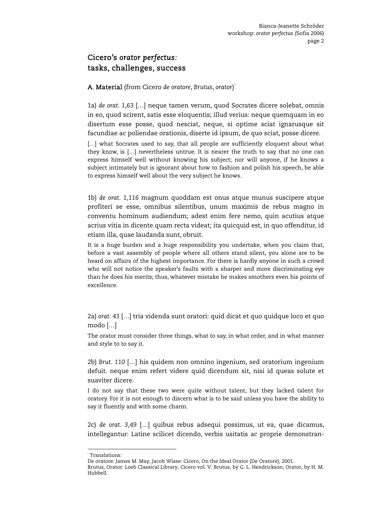# Cicero's *orator perfectus:* tasks, challenges, success

#### A. Material (from Cicero *de oratore*, *Brutus*, *orator*) [\\*](#page-0-0)

1a) *de orat. 1,63* […] neque tamen verum, quod Socrates dicere solebat, omnis in eo, quod scirent, satis esse eloquentis; illud verius: neque quemquam in eo disertum esse posse, quod nesciat, neque, si optime sciat ignarusque sit facundiae ac poliendae orationis, diserte id ipsum, de quo sciat, posse dicere.

[...] what Socrates used to say, that all people are sufficiently eloquent about what they know, is […] nevertheless untrue. It is nearer the truth to say that no one can express himself well without knowing his subject; nor will anyone, if he knows a subject intimately but is ignorant about how to fashion and polish his speech, be able to express himself well about the very subject he knows.

1b) *de orat. 1,116* magnum quoddam est onus atque munus suscipere atque profiteri se esse, omnibus silentibus, unum maximis de rebus magno in conventu hominum audiendum; adest enim fere nemo, quin acutius atque acrius vitia in dicente quam recta videat; ita quicquid est, in quo offenditur, id etiam illa, quae laudanda sunt, obruit.

It is a huge burden and a huge responsibility you undertake, when you claim that, before a vast assembly of people where all others stand silent, you alone are to be heard on affairs of the highest importance. For there is hardly anyone in such a crowd who will not notice the speaker's faults with a sharper and more discriminating eye than he does his merits; thus, whatever mistake he makes smothers even his points of excellence.

2a) *orat. 43* […] tria videnda sunt oratori: quid dicat et quo quidque loco et quo modo […]

The orator must consider three things, what to say, in what order, and in what manner and style to to say it.

2b) *Brut. 110* […] his quidem non omnino ingenium, sed oratorium ingenium defuit. neque enim refert videre quid dicendum sit, nisi id queas solute et suaviter dicere.

I do not say that these two were quite without talent, but they lacked talent for oratory. For it is not enough to discern what is to be said unless you have the ability to say it fluently and with some charm.

2c) *de orat. 3,49* […] quibus rebus adsequi possimus, ut ea, quae dicamus, intellegantur: Latine scilicet dicendo, verbis usitatis ac proprie demonstran-

1

<sup>\*</sup> Translations:

<span id="page-0-0"></span>De oratore: James M. May, Jacob Wisse: Cicero, On the Ideal Orator (De Oratore), 2001.

Brutus, Orator: Loeb Classical Library, Cicero vol. V: Brutus, by G. L. Hendrickson; Orator, by H. M. Hubbell.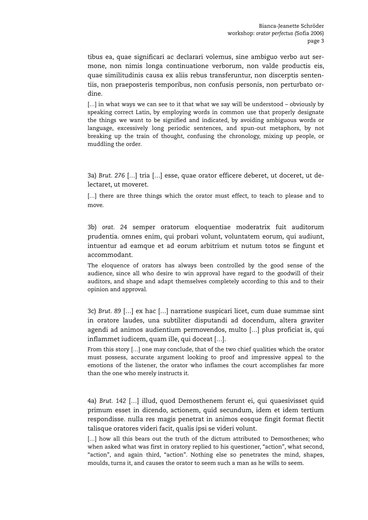tibus ea, quae significari ac declarari volemus, sine ambiguo verbo aut ser mone, non nimis longa continuatione verborum, non valde productis eis, quae similitudinis causa ex aliis rebus transferuntur, non discerptis senten tiis, non praeposteris temporibus, non confusis personis, non perturbato or dine.

[...] in what ways we can see to it that what we say will be understood – obviously by speaking correct Latin, by employing words in common use that properly designate the things we want to be signified and indicated, by avoiding ambiguous words or language, excessively long periodic sentences, and spun-out metaphors, by not breaking up the train of thought, confusing the chronology, mixing up people, or muddling the order.

3a) *Brut. 276* […] tria […] esse, quae orator efficere deberet, ut doceret, ut de lectaret, ut moveret.

[...] there are three things which the orator must effect, to teach to please and to move.

3b) *orat. 24* semper oratorum eloquentiae moderatrix fuit auditorum prudentia. omnes enim, qui probari volunt, voluntatem eorum, qui audiunt, intuentur ad eamque et ad eorum arbitrium et nutum totos se fingunt et accommodant.

The eloquence of orators has always been controlled by the good sense of the audience, since all who desire to win approval have regard to the goodwill of their auditors, and shape and adapt themselves completely according to this and to their opinion and approval.

3c) *Brut. 89* […] ex hac […] narratione suspicari licet, cum duae summae sint in oratore laudes, una subtiliter disputandi ad docendum, altera graviter agendi ad animos audientium permovendos, multo […] plus proficiat is, qui inflammet iudicem, quam ille, qui doceat […].

From this story […] one may conclude, that of the two chief qualities which the orator must possess, accurate argument looking to proof and impressive appeal to the emotions of the listener, the orator who inflames the court accomplishes far more than the one who merely instructs it.

4a) *Brut. 142* […] illud, quod Demosthenem ferunt ei, qui quaesivisset quid primum esset in dicendo, actionem, quid secundum, idem et idem tertium respondisse. nulla res magis penetrat in animos eosque fingit format flectit talisque oratores videri facit, qualis ipsi se videri volunt.

[...] how all this bears out the truth of the dictum attributed to Demosthenes; who when asked what was first in oratory replied to his questioner, "action", what second, "action", and again third, "action". Nothing else so penetrates the mind, shapes, moulds, turns it, and causes the orator to seem such a man as he wills to seem.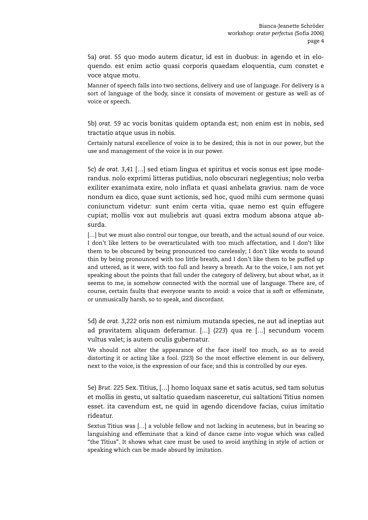5a) *orat. 55* quo modo autem dicatur, id est in duobus: in agendo et in elo quendo. est enim actio quasi corporis quaedam eloquentia, cum constet e voce atque motu.

Manner of speech falls into two sections, delivery and use of language. For delivery is a sort of language of the body, since it consists of movement or gesture as well as of voice or speech.

5b) *orat. 59* ac vocis bonitas quidem optanda est; non enim est in nobis, sed tractatio atque usus in nobis.

Certainly natural excellence of voice is to be desired; this is not in our power, but the use and management of the voice is in our power.

5c) *de orat. 3,41* […] sed etiam lingua et spiritus et vocis sonus est ipse mode randus. nolo exprimi litteras putidius, nolo obscurari neglegentius; nolo verba exiliter exanimata exire, nolo inflata et quasi anhelata gravius. nam de voce nondum ea dico, quae sunt actionis, sed hoc, quod mihi cum sermone quasi coniunctum videtur: sunt enim certa vitia, quae nemo est quin effugere cupiat; mollis vox aut muliebris aut quasi extra modum absona atque ab surda.

[...] but we must also control our tongue, our breath, and the actual sound of our voice. I don't like letters to be overarticulated with too much affectation, and I don't like them to be obscured by being pronounced too carelessly; I don't like words to sound thin by being pronounced with too little breath, and I don't like them to be puffed up and uttered, as it were, with too full and heavy a breath. As to the voice, I am not yet speaking about the points that fall under the category of delivery, but about what, as it seems to me, is somehow connected with the normal use of language. There are, of course, certain faults that everyone wants to avoid: a voice that is soft or effeminate, or unmusically harsh, so to speak, and discordant.

5d) *de orat. 3,222* oris non est nimium mutanda species, ne aut ad ineptias aut ad pravitatem aliquam deferamur. […] (*223*) qua re […] secundum vocem vultus valet; is autem oculis gubernatur.

We should not alter the appearance of the face itself too much, so as to avoid distorting it or acting like a fool. (223) So the most effective element in our delivery, next to the voice, is the expression of our face; and this is controlled by our eyes.

5e) *Brut. 225* Sex. Titius, […] homo loquax sane et satis acutus, sed tam solutus et mollis in gestu, ut saltatio quaedam nasceretur, cui saltationi Titius nomen esset. ita cavendum est, ne quid in agendo dicendove facias, cuius imitatio rideatur.

Sextus Titius was […] a voluble fellow and not lacking in acuteness, but in bearing so languishing and effeminate that a kind of dance came into vogue which was called "the Titius". It shows what care must be used to avoid anything in style of action or speaking which can be made absurd by imitation.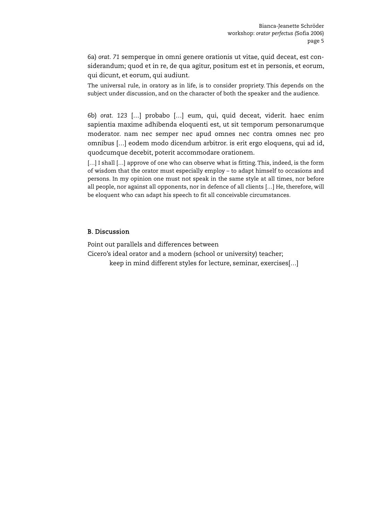6a) *orat. 71* semperque in omni genere orationis ut vitae, quid deceat, est con siderandum; quod et in re, de qua agitur, positum est et in personis, et eorum, qui dicunt, et eorum, qui audiunt.

The universal rule, in oratory as in life, is to consider propriety. This depends on the subject under discussion, and on the character of both the speaker and the audience.

6b) *orat. 123* […] probabo […] eum, qui, quid deceat, viderit. haec enim sapientia maxime adhibenda eloquenti est, ut sit temporum personarumque moderator. nam nec semper nec apud omnes nec contra omnes nec pro omnibus […] eodem modo dicendum arbitror. is erit ergo eloquens, qui ad id, quodcumque decebit, poterit accommodare orationem.

[...] I shall [...] approve of one who can observe what is fitting. This, indeed, is the form of wisdom that the orator must especially employ – to adapt himself to occasions and persons. In my opinion one must not speak in the same style at all times, nor before all people, nor against all opponents, nor in defence of all clients […] He, therefore, will be eloquent who can adapt his speech to fit all conceivable circumstances.

### B. Discussion

Point out parallels and differences between

- Cicero's ideal orator and a modern (school or university) teacher;
	- keep in mind different styles for lecture, seminar, exercises[…]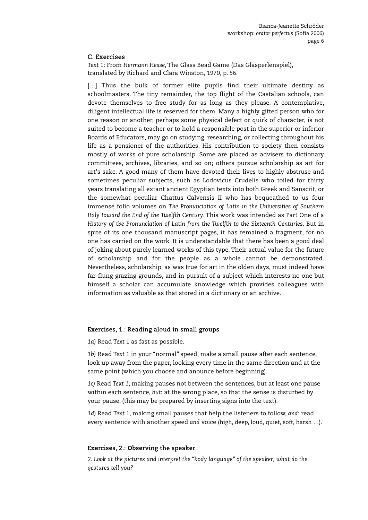#### C. Exercises

*Text 1*: From *Hermann Hesse*, The Glass Bead Game (Das Glasperlenspiel), translated by Richard and Clara Winston, 1970, p. 56.

[...] Thus the bulk of former elite pupils find their ultimate destiny as schoolmasters. The tiny remainder, the top flight of the Castalian schools, can devote themselves to free study for as long as they please. A contemplative, diligent intellectual life is reserved for them. Many a highly gifted person who for one reason or another, perhaps some physical defect or quirk of character, is not suited to become a teacher or to hold a responsible post in the superior or inferior Boards of Educators, may go on studying, researching, or collecting throughout his life as a pensioner of the authorities. His contribution to society then consists mostly of works of pure scholarship. Some are placed as advisers to dictionary committees, archives, libraries, and so on; others pursue scholarship as art for art's sake. A good many of them have devoted their lives to highly abstruse and sometimes peculiar subjects, such as Lodovicus Crudelis who toiled for thirty years translating all extant ancient Egyptian texts into both Greek and Sanscrit, or the somewhat peculiar Chattus Calvensis II who has bequeathed to us four immense folio volumes on *The Pronunciation of Latin in the Universities of Southern Italy toward the End of the Twelfth Century.* This work was intended as Part One of a History of tbe Pronunciation of Latin from the Twelfth to the Sixteenth Centuries. But in spite of its one thousand manuscript pages, it has remained a fragment, for no one has carried on the work. It is understandable that there has been a good deal of joking about purely learned works of this type. Their actual value for the future of scholarship and for the people as a whole cannot be demonstrated. Nevertheless, scholarship, as was true for art in the olden days, must indeed have far-flung grazing grounds, and in pursult of a subject which interests no one but himself a scholar can accumulate knowledge which provides colleagues with information as valuable as that stored in a dictionary or an archive.

#### Exercises, 1.: Reading aloud in small groups

*1a)* Read *Text 1* as fast as possible.

*1b)* Read *Text 1* in your "normal" speed, make a small pause after each sentence, look up away from the paper, looking every time in the same direction and at the same point (which you choose and anounce before beginning).

*1c)* Read *Text 1*, making pauses not between the sentences, but at least one pause within each sentence, *but*: at the wrong place, so that the sense is disturbed by your pause. (this may be prepared by inserting signs into the text).

*1d)* Read *Text 1*, making small pauses that help the listeners to follow, *and*: read every sentence with another speed *and* voice (high, deep, loud, quiet, soft, harsh …).

#### Exercises, 2.: Observing the speaker

*2. Look at the pictures and interpret the "body language" of the speaker; what do the gestures tell you?*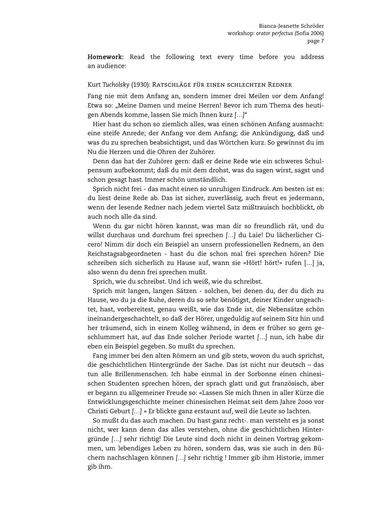Homework: Read the following text every time before you address an audience:

#### Kurt Tucholsky (1930): RATSCHLÄGE FÜR EINEN SCHLECHTEN REDNER

Fang nie mit dem Anfang an, sondern immer drei Meilen *vor* dem Anfang! Etwa so: "Meine Damen und meine Herren! Bevor ich zum Thema des heuti gen Abends komme, lassen Sie mich Ihnen kurz *[…]*"

Hier hast du schon so ziemlich alles, was einen schönen Anfang ausmacht: eine steife Anrede; der Anfang vor dem Anfang; die Ankündigung, daß und was du zu sprechen beabsichtigst, und das Wörtchen kurz. So gewinnst du im Nu die Herzen und die Ohren der Zuhörer.

Denn das hat der Zuhörer gern: daß er deine Rede wie ein schweres Schul pensum aufbekommt; daß du mit dem drohst, was du sagen wirst, sagst und schon gesagt hast. Immer schön umständlich.

Sprich nicht frei - das macht einen so unruhigen Eindruck. Am besten ist es: du liest deine Rede ab. Das ist sicher, zuverlässig, auch freut es jedermann, wenn der lesende Redner nach jedem viertel Satz mißtrauisch hochblickt, ob auch noch alle da sind.

Wenn du gar nicht hören kannst, was man dir so freundlich rät, und du willst durchaus und durchum frei sprechen *[…]* du Laie! Du lächerlicher Ci cero! Nimm dir doch ein Beispiel an unsern professionellen Rednern, an den Reichstagsabgeordneten - hast du die schon mal frei sprechen hören? Die schreiben sich sicherlich zu Hause auf, wann sie «Hört! hört!» rufen […] ja, also wenn du denn frei sprechen mußt.

Sprich, wie du schreibst. Und ich weiß, wie du schreibst.

Sprich mit langen, langen Sätzen - solchen, bei denen du, der du dich zu Hause, wo du ja die Ruhe, deren du so sehr benötigst, deiner Kinder ungeach tet, hast, vorbereitest, genau weißt, wie das Ende ist, die Nebensätze schön ineinandergeschachtelt, so daß der Hörer, ungeduldig auf seinem Sitz hin und her träumend, sich in einem Kolleg wähnend, in dem er früher so gern ge schlummert hat, auf das Ende solcher Periode wartet *[…]* nun, ich habe dir eben ein Beispiel gegeben. So mußt du sprechen.

Fang immer bei den alten Römern an und gib stets, wovon du auch sprichst, die geschichtlichen Hintergründe der Sache. Das ist nicht nur deutsch – das tun alle Brillenmenschen. Ich habe einmal in der Sorbonne einen chinesi schen Studenten sprechen hören, der sprach glatt und gut französisch, aber er begann zu allgemeiner Freude so: «Lassen Sie mich Ihnen in aller Kürze die Entwicklungsgeschichte meiner chinesischen Heimat seit dem Jahre 2ooo vor Christi Geburt *[…]* » Er blickte ganz erstaunt auf, weil die Leute so lachten.

So mußt du das auch machen. Du hast ganz recht-. man versteht es ja sonst nicht, wer kann denn das alles verstehen, ohne die geschichtlichen Hinter gründe *[…]* sehr richtig! Die Leute sind doch nicht in deinen Vortrag gekom men, um lebendiges Leben zu hören, sondern das, was sie auch in den Bü chern nachschlagen können *[…]* sehr richtig ! Immer gib ihm Historie, immer gib ihm.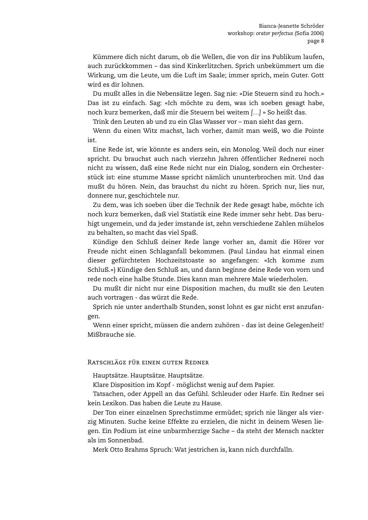Kümmere dich nicht darum, ob die Wellen, die von dir ins Publikum laufen, auch zurückkommen – das sind Kinkerlitzchen. Sprich unbekümmert um die Wirkung, um die Leute, um die Luft im Saale; immer sprich, mein Guter. Gott wird es dir lohnen.

Du mußt alles in die Nebensätze legen. Sag nie: «Die Steuern sind zu hoch.» Das ist zu einfach. Sag: «Ich möchte zu dem, was ich soeben gesagt habe, noch kurz bemerken, daß mir die Steuern bei weitem *[…] »* So heißt das.

Trink den Leuten ab und zu ein Glas Wasser vor – man sieht das gern.

Wenn du einen Witz machst, lach vorher, damit man weiß, wo die Pointe ist.

Eine Rede ist, wie könnte es anders sein, ein Monolog. Weil doch nur einer spricht. Du brauchst auch nach vierzehn Jahren öffentlicher Rednerei noch nicht zu wissen, daß eine Rede nicht nur ein Dialog, sondern ein Orchester stück ist: eine stumme Masse spricht nämlich ununterbrochen mit. Und das mußt du hören. Nein, das brauchst du nicht zu hören. Sprich nur, lies nur, donnere nur, geschichtele nur.

Zu dem, was ich soeben über die Technik der Rede gesagt habe, möchte ich noch kurz bemerken, daß viel Statistik eine Rede immer sehr hebt. Das beru higt ungemein, und da jeder imstande ist, zehn verschiedene Zahlen mühelos zu behalten, so macht das viel Spaß.

Kündige den Schluß deiner Rede lange vorher an, damit die Hörer vor Freude nicht einen Schlaganfall bekommen. (Paul Lindau hat einmal einen dieser gefürchteten Hochzeitstoaste so angefangen: «Ich komme zum Schluß.») Kündige den Schluß an, und dann beginne deine Rede von vorn und rede noch eine halbe Stunde. Dies kann man mehrere Male wiederholen.

Du mußt dir nicht nur eine Disposition machen, du mußt sie den Leuten auch vortragen - das würzt die Rede.

Sprich nie unter anderthalb Stunden, sonst lohnt es gar nicht erst anzufan gen.

Wenn einer spricht, müssen die andern zuhören - das ist deine Gelegenheit! Mißbrauche sie.

#### Ratschläge für einen guten Redner

Hauptsätze. Hauptsätze. Hauptsätze.

Klare Disposition im Kopf - möglichst wenig auf dem Papier.

Tatsachen, oder Appell an das Gefühl. Schleuder oder Harfe. Ein Redner sei kein Lexikon. Das haben die Leute zu Hause.

Der Ton einer einzelnen Sprechstimme ermüdet; sprich nie länger als vier zig Minuten. Suche keine Effekte zu erzielen, die nicht in deinem Wesen lie gen. Ein Podium ist eine unbarmherzige Sache – da steht der Mensch nackter als im Sonnenbad.

Merk Otto Brahms Spruch: Wat jestrichen is, kann nich durchfalln.